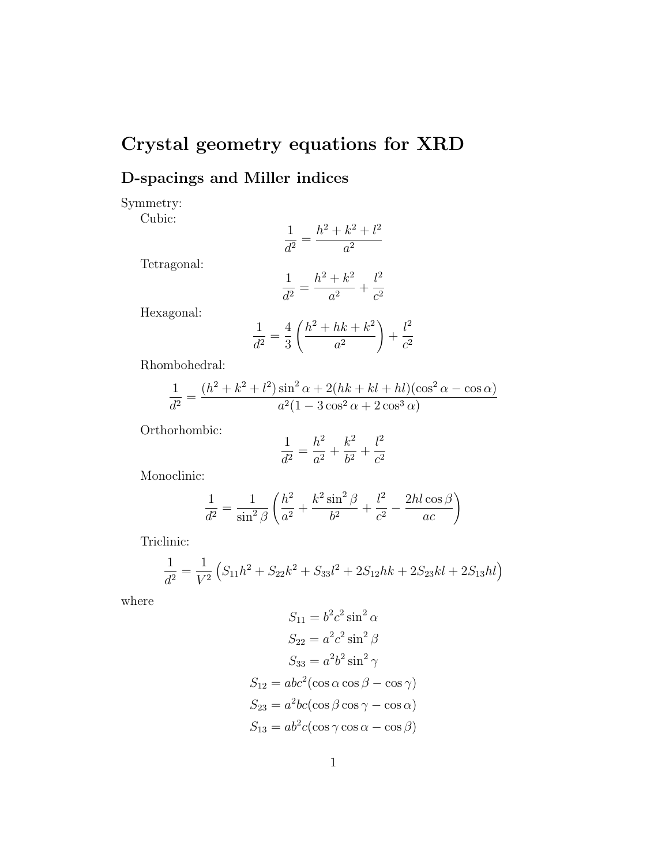## Crystal geometry equations for XRD

## D-spacings and Miller indices

Symmetry:

Cubic:

$$
\frac{1}{d^2} = \frac{h^2 + k^2 + l^2}{a^2}
$$

Tetragonal:

$$
\frac{1}{d^2} = \frac{h^2 + k^2}{a^2} + \frac{l^2}{c^2}
$$

Hexagonal:

$$
\frac{1}{d^2} = \frac{4}{3} \left( \frac{h^2 + hk + k^2}{a^2} \right) + \frac{l^2}{c^2}
$$

Rhombohedral:

$$
\frac{1}{d^2} = \frac{(h^2 + k^2 + l^2)\sin^2 \alpha + 2(hk + kl + hl)(\cos^2 \alpha - \cos \alpha)}{a^2(1 - 3\cos^2 \alpha + 2\cos^3 \alpha)}
$$

Orthorhombic:

$$
\frac{1}{d^2} = \frac{h^2}{a^2} + \frac{k^2}{b^2} + \frac{l^2}{c^2}
$$

Monoclinic:

$$
\frac{1}{d^2} = \frac{1}{\sin^2 \beta} \left( \frac{h^2}{a^2} + \frac{k^2 \sin^2 \beta}{b^2} + \frac{l^2}{c^2} - \frac{2hl \cos \beta}{ac} \right)
$$

Triclinic:

$$
\frac{1}{d^2} = \frac{1}{V^2} \left( S_{11}h^2 + S_{22}k^2 + S_{33}l^2 + 2S_{12}hk + 2S_{23}kl + 2S_{13}hl \right)
$$

where

$$
S_{11} = b^2 c^2 \sin^2 \alpha
$$
  
\n
$$
S_{22} = a^2 c^2 \sin^2 \beta
$$
  
\n
$$
S_{33} = a^2 b^2 \sin^2 \gamma
$$
  
\n
$$
S_{12} = abc^2 (\cos \alpha \cos \beta - \cos \gamma)
$$
  
\n
$$
S_{23} = a^2 bc (\cos \beta \cos \gamma - \cos \alpha)
$$
  
\n
$$
S_{13} = ab^2 c (\cos \gamma \cos \alpha - \cos \beta)
$$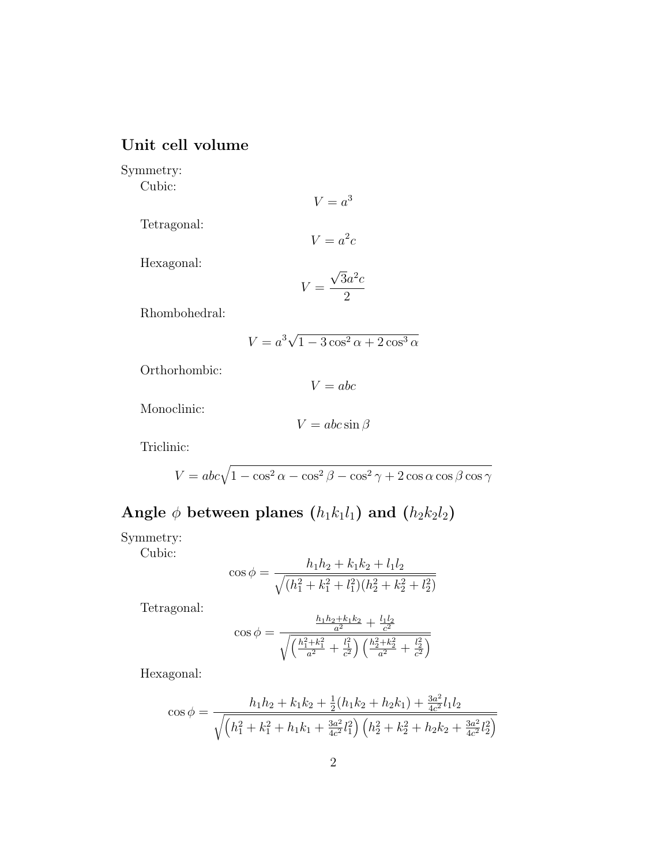## Unit cell volume

Symmetry:

Cubic:

 $V = a^3$ 

Tetragonal:

$$
V = a^2c
$$

Hexagonal:

$$
V = \frac{\sqrt{3}a^2c}{2}
$$

Rhombohedral:

$$
V = a^3 \sqrt{1 - 3\cos^2\alpha + 2\cos^3\alpha}
$$

Orthorhombic:

 $V = abc$ 

Monoclinic:

 $V = abc \sin \beta$ 

Triclinic:

$$
V = abc\sqrt{1-\cos^2\alpha-\cos^2\beta-\cos^2\gamma+2\cos\alpha\cos\beta\cos\gamma}
$$

Angle  $\phi$  between planes  $(h_1k_1l_1)$  and  $(h_2k_2l_2)$ 

Symmetry:

Cubic:

$$
\cos \phi = \frac{h_1 h_2 + k_1 k_2 + l_1 l_2}{\sqrt{(h_1^2 + k_1^2 + l_1^2)(h_2^2 + k_2^2 + l_2^2)}}
$$

Tetragonal:

$$
\cos \phi = \frac{\frac{h_1 h_2 + k_1 k_2}{a^2} + \frac{l_1 l_2}{c^2}}{\sqrt{\left(\frac{h_1^2 + k_1^2}{a^2} + \frac{l_1^2}{c^2}\right) \left(\frac{h_2^2 + k_2^2}{a^2} + \frac{l_2^2}{c^2}\right)}}
$$

Hexagonal:

$$
\cos \phi = \frac{h_1 h_2 + k_1 k_2 + \frac{1}{2} (h_1 k_2 + h_2 k_1) + \frac{3a^2}{4c^2} l_1 l_2}{\sqrt{\left(h_1^2 + k_1^2 + h_1 k_1 + \frac{3a^2}{4c^2} l_1^2\right) \left(h_2^2 + k_2^2 + h_2 k_2 + \frac{3a^2}{4c^2} l_2^2\right)}}
$$